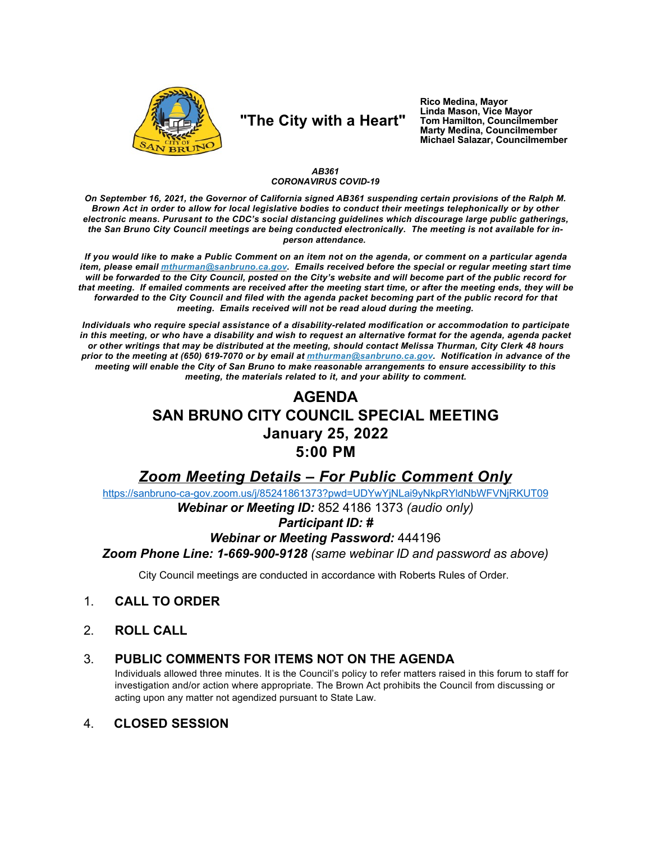

# "The City with a Heart"

Rico Medina, Mayor Linda Mason, Vice Mayor Tom Hamilton, Councilmember<br>Marty Medina, Councilmember Michael Salazar, Councilmember

### AB361 **CORONAVIRUS COVID-19**

On September 16, 2021, the Governor of California signed AB361 suspending certain provisions of the Ralph M. Brown Act in order to allow for local legislative bodies to conduct their meetings telephonically or by other electronic means. Purusant to the CDC's social distancing guidelines which discourage large public gatherings, the San Bruno City Council meetings are being conducted electronically. The meeting is not available for inperson attendance.

If you would like to make a Public Comment on an item not on the agenda, or comment on a particular agenda item, please email *mthurman@sanbruno.ca.gov.* Emails received before the special or regular meeting start time will be forwarded to the City Council, posted on the City's website and will become part of the public record for that meeting. If emailed comments are received after the meeting start time, or after the meeting ends, they will be forwarded to the City Council and filed with the agenda packet becoming part of the public record for that meeting. Emails received will not be read aloud during the meeting.

Individuals who require special assistance of a disability-related modification or accommodation to participate in this meeting, or who have a disability and wish to request an alternative format for the agenda, agenda packet or other writings that may be distributed at the meeting, should contact Melissa Thurman, City Clerk 48 hours prior to the meeting at (650) 619-7070 or by email at mthurman@sanbruno.ca.gov. Notification in advance of the meeting will enable the City of San Bruno to make reasonable arrangements to ensure accessibility to this meeting, the materials related to it, and your ability to comment.

# **AGENDA** SAN BRUNO CITY COUNCIL SPECIAL MEETING **January 25, 2022**  $5:00$  PM

## **Zoom Meeting Details - For Public Comment Only**

https://sanbruno-ca-gov.zoom.us/j/85241861373?pwd=UDYwYjNLai9yNkpRYIdNbWFVNjRKUT09

Webinar or Meeting ID: 852 4186 1373 (audio only)

### **Participant ID: #**

### **Webinar or Meeting Password: 444196**

Zoom Phone Line: 1-669-900-9128 (same webinar ID and password as above)

City Council meetings are conducted in accordance with Roberts Rules of Order.

#### $1<sub>1</sub>$ **CALL TO ORDER**

 $2<sup>1</sup>$ **ROLL CALL** 

#### PUBLIC COMMENTS FOR ITEMS NOT ON THE AGENDA  $3_{-}$

Individuals allowed three minutes. It is the Council's policy to refer matters raised in this forum to staff for investigation and/or action where appropriate. The Brown Act prohibits the Council from discussing or acting upon any matter not agendized pursuant to State Law.

#### $\mathbf{4}$ **CLOSED SESSION**